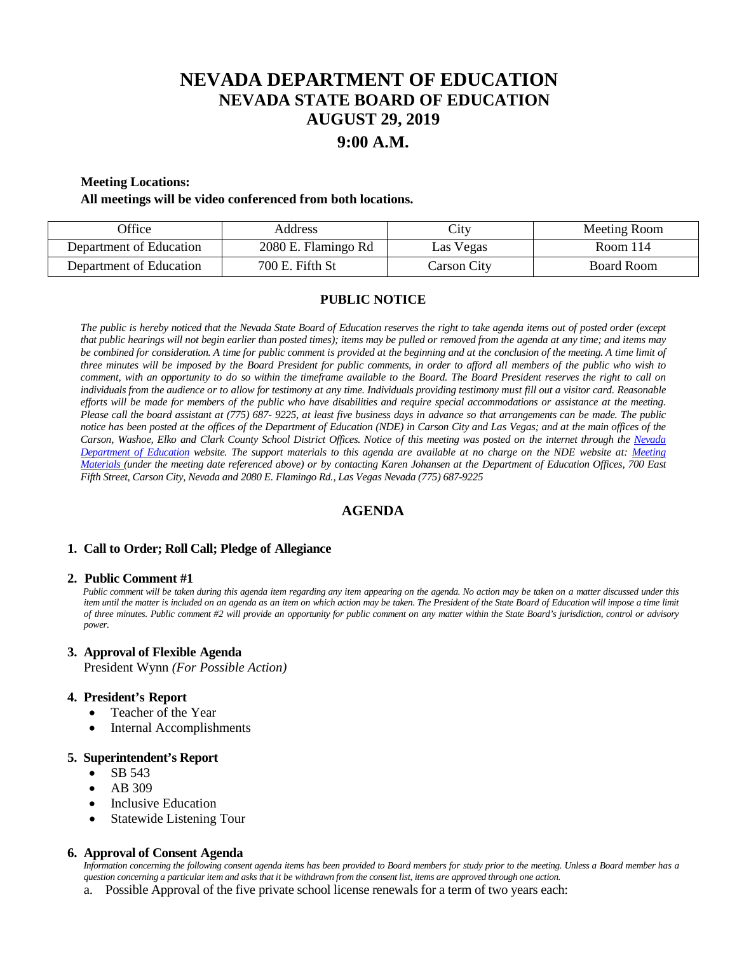# **NEVADA DEPARTMENT OF EDUCATION NEVADA STATE BOARD OF EDUCATION AUGUST 29, 2019**

## **9:00 A.M.**

#### **Meeting Locations:**

#### **All meetings will be video conferenced from both locations.**

| <b>Office</b>           | Address             | $\mathsf{L}1\mathsf{t}\mathsf{V}$ | Meeting Room |
|-------------------------|---------------------|-----------------------------------|--------------|
| Department of Education | 2080 E. Flamingo Rd | Las Vegas                         | Room 114     |
| Department of Education | 700 E. Fifth St     | Carson City                       | Board Room   |

### **PUBLIC NOTICE**

*The public is hereby noticed that the Nevada State Board of Education reserves the right to take agenda items out of posted order (except that public hearings will not begin earlier than posted times); items may be pulled or removed from the agenda at any time; and items may be combined for consideration. A time for public comment is provided at the beginning and at the conclusion of the meeting. A time limit of three minutes will be imposed by the Board President for public comments, in order to afford all members of the public who wish to comment, with an opportunity to do so within the timeframe available to the Board. The Board President reserves the right to call on individuals from the audience or to allow for testimony at any time. Individuals providing testimony must fill out a visitor card. Reasonable efforts will be made for members of the public who have disabilities and require special accommodations or assistance at the meeting. Please call the board assistant at (775) 687- 9225, at least five business days in advance so that arrangements can be made. The public notice has been posted at the offices of the Department of Education (NDE) in Carson City and Las Vegas; and at the main offices of the Carson, Washoe, Elko and Clark County School District Offices. Notice of this meeting was posted on the internet through the Nevada Department of Education website. The support materials to this agenda are available at no charge on the NDE website at: [Meeting](http://www.doe.nv.gov/Boards_Commissions_Councils/State_Board_of_Education/MeetingMaterials/)  [Materials \(](http://www.doe.nv.gov/Boards_Commissions_Councils/State_Board_of_Education/MeetingMaterials/)under the meeting date referenced above) or by contacting Karen Johansen at the Department of Education Offices, 700 East Fifth Street, Carson City, Nevada and 2080 E. Flamingo Rd., Las Vegas Nevada (775) 687-9225*

### **AGENDA**

#### **1. Call to Order; Roll Call; Pledge of Allegiance**

#### **2. Public Comment #1**

 *Public comment will be taken during this agenda item regarding any item appearing on the agenda. No action may be taken on a matter discussed under this*  item until the matter is included on an agenda as an item on which action may be taken. The President of the State Board of Education will impose a time limit *of three minutes. Public comment #2 will provide an opportunity for public comment on any matter within the State Board's jurisdiction, control or advisory power.*

#### **3. Approval of Flexible Agenda**

President Wynn *(For Possible Action)*

#### **4. President's Report**

- Teacher of the Year
- Internal Accomplishments

#### **5. Superintendent's Report**

- SB 543
- AB 309
- Inclusive Education
- **Statewide Listening Tour**

#### **6. Approval of Consent Agenda**

 *Information concerning the following consent agenda items has been provided to Board members for study prior to the meeting. Unless a Board member has a question concerning a particular item and asks that it be withdrawn from the consent list, items are approved through one action.*

a. Possible Approval of the five private school license renewals for a term of two years each: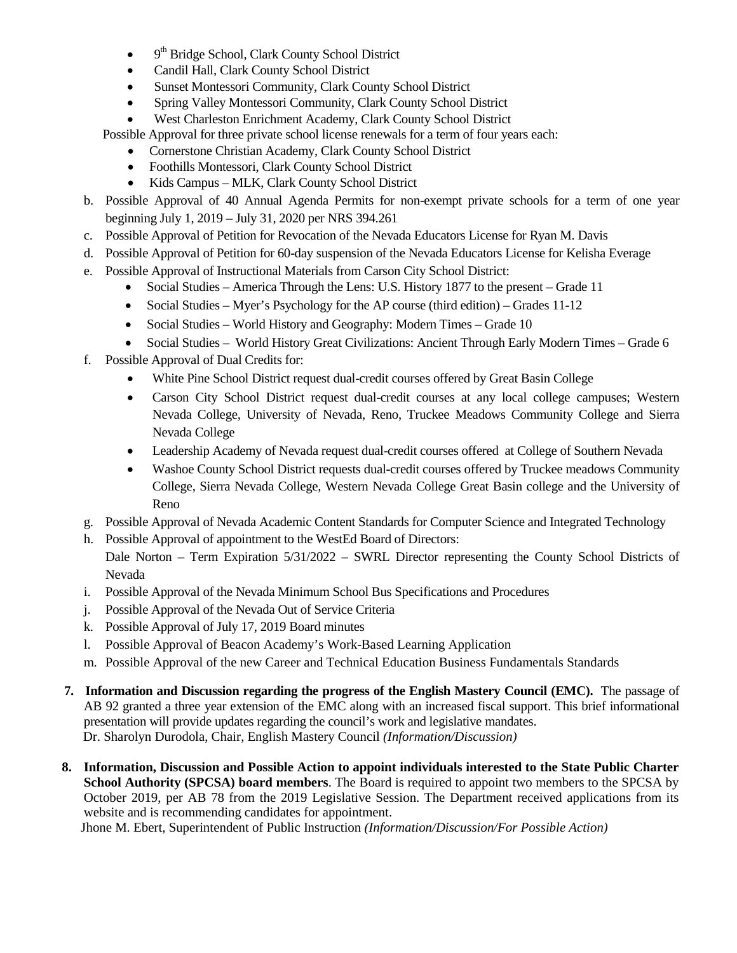- $\bullet$  9<sup>th</sup> Bridge School, Clark County School District
- Candil Hall, Clark County School District
- Sunset Montessori Community, Clark County School District
- Spring Valley Montessori Community, Clark County School District
- West Charleston Enrichment Academy, Clark County School District
- Possible Approval for three private school license renewals for a term of four years each:
	- Cornerstone Christian Academy, Clark County School District
	- Foothills Montessori, Clark County School District
	- Kids Campus MLK, Clark County School District
- b. Possible Approval of 40 Annual Agenda Permits for non-exempt private schools for a term of one year beginning July 1, 2019 – July 31, 2020 per NRS 394.261
- c. Possible Approval of Petition for Revocation of the Nevada Educators License for Ryan M. Davis
- d. Possible Approval of Petition for 60-day suspension of the Nevada Educators License for Kelisha Everage
- e. Possible Approval of Instructional Materials from Carson City School District:
	- Social Studies America Through the Lens: U.S. History 1877 to the present Grade 11
	- Social Studies Myer's Psychology for the AP course (third edition) Grades 11-12
	- Social Studies World History and Geography: Modern Times Grade 10
	- Social Studies World History Great Civilizations: Ancient Through Early Modern Times Grade 6
- f. Possible Approval of Dual Credits for:
	- White Pine School District request dual-credit courses offered by Great Basin College
	- Carson City School District request dual-credit courses at any local college campuses; Western Nevada College, University of Nevada, Reno, Truckee Meadows Community College and Sierra Nevada College
	- Leadership Academy of Nevada request dual-credit courses offered at College of Southern Nevada
	- Washoe County School District requests dual-credit courses offered by Truckee meadows Community College, Sierra Nevada College, Western Nevada College Great Basin college and the University of Reno
- g. Possible Approval of Nevada Academic Content Standards for Computer Science and Integrated Technology
- h. Possible Approval of appointment to the WestEd Board of Directors:
	- Dale Norton Term Expiration 5/31/2022 SWRL Director representing the County School Districts of Nevada
- i. Possible Approval of the Nevada Minimum School Bus Specifications and Procedures
- j. Possible Approval of the Nevada Out of Service Criteria
- k. Possible Approval of July 17, 2019 Board minutes
- l. Possible Approval of Beacon Academy's Work-Based Learning Application
- m. Possible Approval of the new Career and Technical Education Business Fundamentals Standards
- **7. Information and Discussion regarding the progress of the English Mastery Council (EMC).** The passage of AB 92 granted a three year extension of the EMC along with an increased fiscal support. This brief informational presentation will provide updates regarding the council's work and legislative mandates. Dr. Sharolyn Durodola, Chair, English Mastery Council *(Information/Discussion)*
- **8. Information, Discussion and Possible Action to appoint individuals interested to the State Public Charter School Authority (SPCSA) board members**. The Board is required to appoint two members to the SPCSA by October 2019, per AB 78 from the 2019 Legislative Session. The Department received applications from its website and is recommending candidates for appointment.

Jhone M. Ebert, Superintendent of Public Instruction *(Information/Discussion/For Possible Action)*